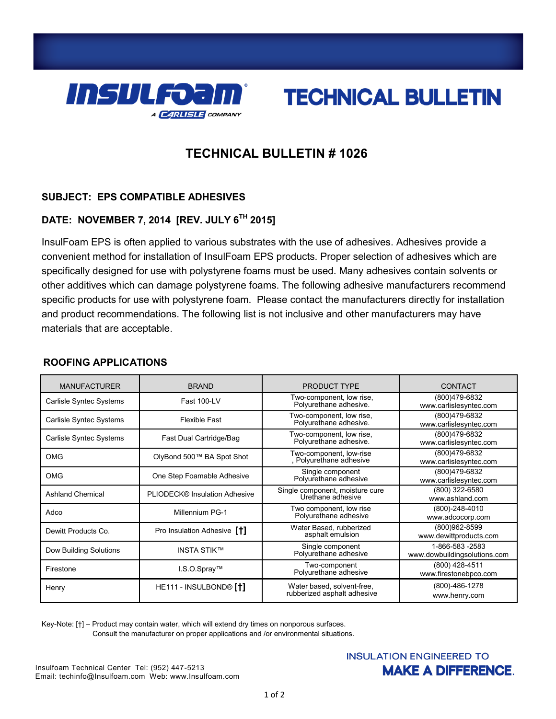



# **TECHNICAL BULLETIN # 1026**

## **SUBJECT: EPS COMPATIBLE ADHESIVES**

# **DATE: NOVEMBER 7, 2014 [REV. JULY 6TH 2015]**

InsulFoam EPS is often applied to various substrates with the use of adhesives. Adhesives provide a convenient method for installation of InsulFoam EPS products. Proper selection of adhesives which are specifically designed for use with polystyrene foams must be used. Many adhesives contain solvents or other additives which can damage polystyrene foams. The following adhesive manufacturers recommend specific products for use with polystyrene foam. Please contact the manufacturers directly for installation and product recommendations. The following list is not inclusive and other manufacturers may have materials that are acceptable.

## **ROOFING APPLICATIONS**

| <b>MANUFACTURER</b>     | <b>BRAND</b>                             | PRODUCT TYPE                                              | CONTACT                                         |
|-------------------------|------------------------------------------|-----------------------------------------------------------|-------------------------------------------------|
| Carlisle Syntec Systems | Fast 100-LV                              | Two-component, low rise,<br>Polyurethane adhesive.        | (800)479-6832<br>www.carlislesyntec.com         |
| Carlisle Syntec Systems | <b>Flexible Fast</b>                     | Two-component, low rise,<br>Polyurethane adhesive.        | (800)479-6832<br>www.carlislesyntec.com         |
| Carlisle Syntec Systems | Fast Dual Cartridge/Bag                  | Two-component, low rise,<br>Polyurethane adhesive.        | (800)479-6832<br>www.carlislesyntec.com         |
| <b>OMG</b>              | OlyBond 500™ BA Spot Shot                | Two-component, low-rise<br>, Polyurethane adhesive        | (800)479-6832<br>www.carlislesyntec.com         |
| <b>OMG</b>              | One Step Foamable Adhesive               | Single component<br>Polyurethane adhesive                 | (800)479-6832<br>www.carlislesyntec.com         |
| <b>Ashland Chemical</b> | PLIODECK® Insulation Adhesive            | Single component, moisture cure<br>Urethane adhesive      | (800) 322-6580<br>www.ashland.com               |
| Adco                    | Millennium PG-1                          | Two component, low rise<br>Polyurethane adhesive          | $(800) - 248 - 4010$<br>www.adcocorp.com        |
| Dewitt Products Co.     | Pro Insulation Adhesive [ <sup>+</sup> ] | Water Based, rubberized<br>asphalt emulsion               | (800)962-8599<br>www.dewittproducts.com         |
| Dow Building Solutions  | <b>INSTA STIK™</b>                       | Single component<br>Polyurethane adhesive                 | 1-866-583 -2583<br>www.dowbuildingsolutions.com |
| Firestone               | I.S.O.Spray™                             | Two-component<br>Polyurethane adhesive                    | (800) 428-4511<br>www.firestonebpco.com         |
| Henry                   | HE111 - INSULBOND® [†]                   | Water based, solvent-free,<br>rubberized asphalt adhesive | (800)-486-1278<br>www.henry.com                 |

Key-Note: [†] – Product may contain water, which will extend dry times on nonporous surfaces. Consult the manufacturer on proper applications and /or environmental situations.

## **INSULATION ENGINEERED TO MAKE A DIFFERENCE.**